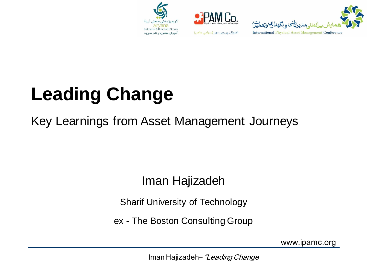





#### **Leading Change**

#### Key Learnings from Asset Management Journeys

#### Iman Hajizadeh

Sharif University of Technology

ex - The Boston Consulting Group

www.ipamc.org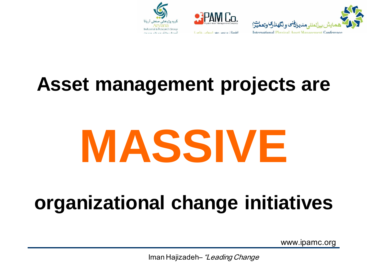





#### **Asset management projects are**

# **MASSIVE**

#### **organizational change initiatives**

www.ipamc.org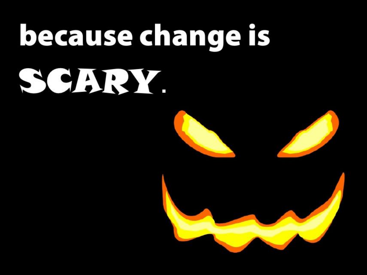# because change is SCHRY



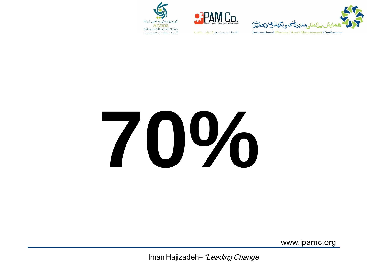





اطمینان پر دیس مهر (سهامی خاص)

# 70%

www.ipamc.org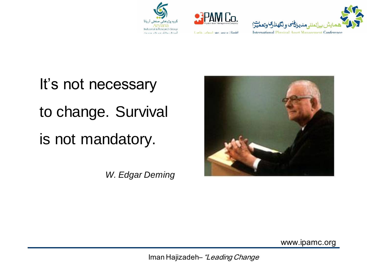



اطمینان پر دس مهر (سهامی خاص)



It's not necessary to change. Survival is not mandatory.

*W. Edgar Deming*



www.ipamc.org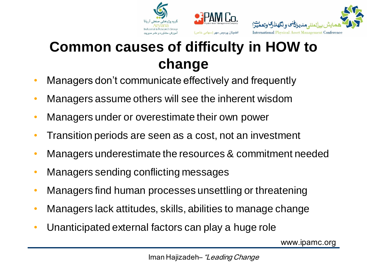





#### **Common causes of difficulty in HOW to change**

- Managers don't communicate effectively and frequently
- Managers assume others will see the inherent wisdom
- Managers under or overestimate their own power
- Transition periods are seen as a cost, not an investment
- Managers underestimate the resources & commitment needed
- Managers sending conflicting messages
- Managers find human processes unsettling or threatening
- Managers lack attitudes, skills, abilities to manage change
- Unanticipated external factors can play a huge role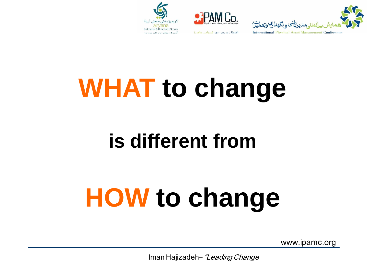



اطمینان پر دیس مهر (سهامی خاص)



**WHAT to change** 

#### **is different from**

## **HOW to change**

www.ipamc.org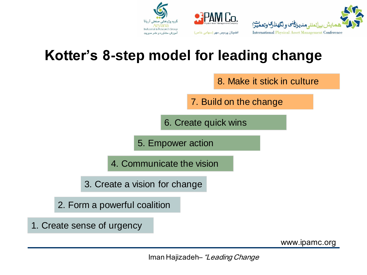



#### **Kotter's 8-step model for leading change**

8. Make it stick in culture

7. Build on the change

6. Create quick wins

5. Empower action

4. Communicate the vision

3. Create a vision for change

2. Form a powerful coalition

1. Create sense of urgency

www.ipamc.org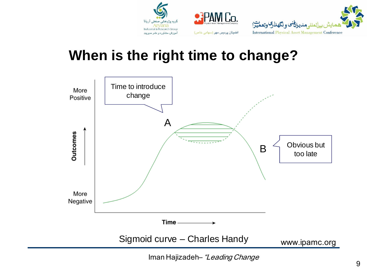

#### **When is the right time to change?**

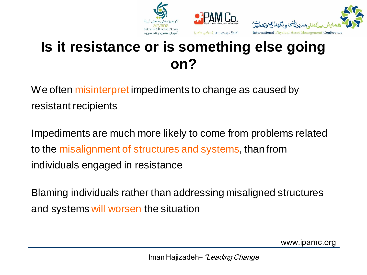

#### **Is it resistance or is something else going on?**

We often misinterpret impediments to change as caused by resistant recipients

Impediments are much more likely to come from problems related to the misalignment of structures and systems, than from individuals engaged in resistance

Blaming individuals rather than addressing misaligned structures and systems will worsen the situation

www.ipamc.org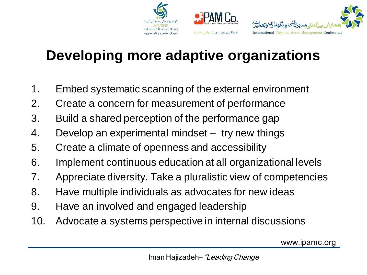

#### **Developing more adaptive organizations**

- 1. Embed systematic scanning of the external environment
- 2. Create a concern for measurement of performance
- 3. Build a shared perception of the performance gap
- 4. Develop an experimental mindset try new things
- 5. Create a climate of openness and accessibility
- 6. Implement continuous education at all organizational levels
- 7. Appreciate diversity. Take a pluralistic view of competencies
- 8. Have multiple individuals as advocates for new ideas
- 9. Have an involved and engaged leadership
- 10. Advocate a systems perspective in internal discussions